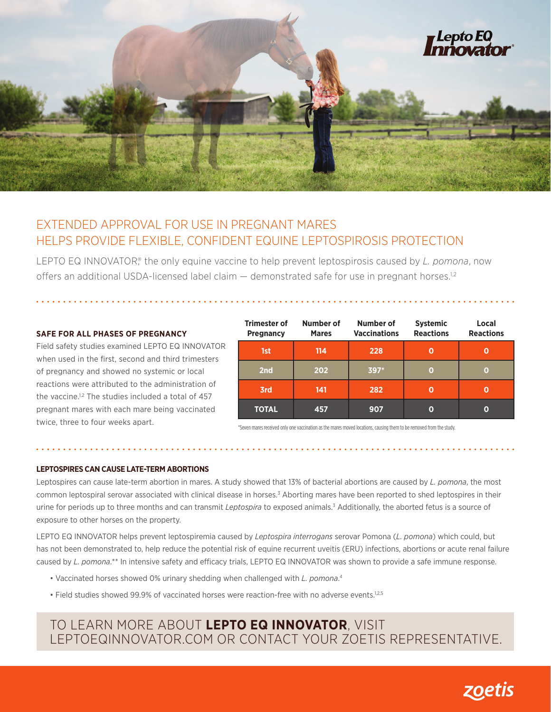

## EXTENDED APPROVAL FOR USE IN PREGNANT MARES HELPS PROVIDE FLEXIBLE, CONFIDENT EQUINE LEPTOSPIROSIS PROTECTION

LEPTO EQ INNOVATOR<sup>®</sup>, the only equine vaccine to help prevent leptospirosis caused by *L. pomona*, now offers an additional USDA-licensed label claim — demonstrated safe for use in pregnant horses.<sup>1,2</sup>

### **SAFE FOR ALL PHASES OF PREGNANCY**

Field safety studies examined LEPTO EQ INNOVATOR when used in the first, second and third trimesters of pregnancy and showed no systemic or local reactions were attributed to the administration of the vaccine.<sup>1,2</sup> The studies included a total of 457 pregnant mares with each mare being vaccinated twice, three to four weeks apart.

| <b>Trimester of</b><br><b>Pregnancy</b> | Number of<br><b>Mares</b> | Number of<br><b>Vaccinations</b> | <b>Systemic</b><br><b>Reactions</b> | Local<br><b>Reactions</b> |
|-----------------------------------------|---------------------------|----------------------------------|-------------------------------------|---------------------------|
| 1st                                     | 114                       | 228                              |                                     |                           |
| 2nd                                     | 202                       | $397*$                           | O                                   | О                         |
| 3rd                                     | 141                       | 282                              | O                                   |                           |
| <b>TOTAL</b>                            | 457                       | 907                              | 0                                   | Ω                         |

\*Seven mares received only one vaccination as the mares moved locations, causing them to be removed from the study.

#### **LEPTOSPIRES CAN CAUSE LATE-TERM ABORTIONS**

Leptospires can cause late-term abortion in mares. A study showed that 13% of bacterial abortions are caused by *L. pomona*, the most common leptospiral serovar associated with clinical disease in horses.<sup>3</sup> Aborting mares have been reported to shed leptospires in their urine for periods up to three months and can transmit Leptospira to exposed animals.<sup>3</sup> Additionally, the aborted fetus is a source of exposure to other horses on the property.

LEPTO EQ INNOVATOR helps prevent leptospiremia caused by *Leptospira interrogans* serovar Pomona (*L. pomona*) which could, but has not been demonstrated to, help reduce the potential risk of equine recurrent uveitis (ERU) infections, abortions or acute renal failure caused by *L. pomona*.\*\* In intensive safety and efficacy trials, LEPTO EQ INNOVATOR was shown to provide a safe immune response.

- Vaccinated horses showed 0% urinary shedding when challenged with *L. pomona*. 4
- Field studies showed 99.9% of vaccinated horses were reaction-free with no adverse events.1,2,5

## TO LEARN MORE ABOUT **LEPTO EQ INNOVATOR**, VISIT LEPTOEQINNOVATOR.COM OR CONTACT YOUR ZOETIS REPRESENTATIVE.